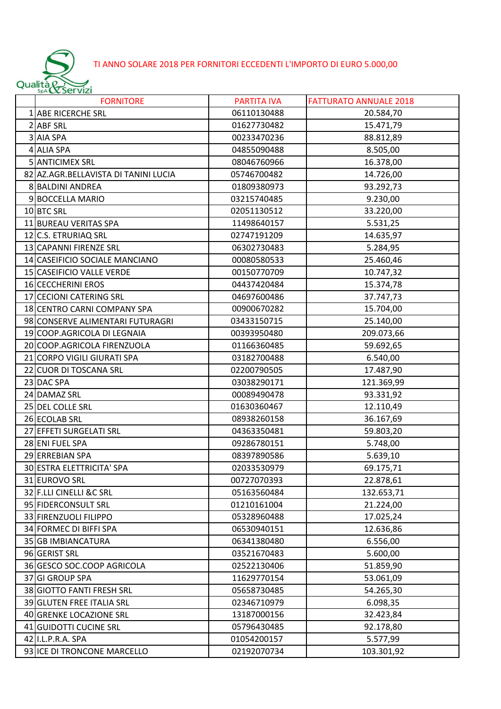## TI ANNO SOLARE 2018 PER FORNITORI ECCEDENTI L'IMPORTO DI EURO 5.000,00

|    | Qualità & Servizi                    |                    |                               |
|----|--------------------------------------|--------------------|-------------------------------|
|    | <b>FORNITORE</b>                     | <b>PARTITA IVA</b> | <b>FATTURATO ANNUALE 2018</b> |
| 1  | <b>ABE RICERCHE SRL</b>              | 06110130488        | 20.584,70                     |
| 2  | <b>ABF SRL</b>                       | 01627730482        | 15.471,79                     |
| 3  | <b>AIA SPA</b>                       | 00233470236        | 88.812,89                     |
| 4  | <b>ALIA SPA</b>                      | 04855090488        | 8.505,00                      |
|    | 5 ANTICIMEX SRL                      | 08046760966        | 16.378,00                     |
|    | 82 AZ.AGR.BELLAVISTA DI TANINI LUCIA | 05746700482        | 14.726,00                     |
|    | 8 BALDINI ANDREA                     | 01809380973        | 93.292,73                     |
| 9  | <b>BOCCELLA MARIO</b>                | 03215740485        | 9.230,00                      |
|    | 10 BTC SRL                           | 02051130512        | 33.220,00                     |
|    | 11 BUREAU VERITAS SPA                | 11498640157        | 5.531,25                      |
|    | 12 C.S. ETRURIAQ SRL                 | 02747191209        | 14.635,97                     |
|    | 13 CAPANNI FIRENZE SRL               | 06302730483        | 5.284,95                      |
|    | 14 CASEIFICIO SOCIALE MANCIANO       | 00080580533        | 25.460,46                     |
|    | 15 CASEIFICIO VALLE VERDE            | 00150770709        | 10.747,32                     |
|    | 16 CECCHERINI EROS                   | 04437420484        | 15.374,78                     |
|    | 17 CECIONI CATERING SRL              | 04697600486        | 37.747,73                     |
|    | 18 CENTRO CARNI COMPANY SPA          | 00900670282        | 15.704,00                     |
|    | 98 CONSERVE ALIMENTARI FUTURAGRI     | 03433150715        | 25.140,00                     |
|    | 19 COOP.AGRICOLA DI LEGNAIA          | 00393950480        | 209.073,66                    |
|    | 20 COOP.AGRICOLA FIRENZUOLA          | 01166360485        | 59.692,65                     |
| 21 | <b>CORPO VIGILI GIURATI SPA</b>      | 03182700488        | 6.540,00                      |
|    | 22 CUOR DI TOSCANA SRL               | 02200790505        | 17.487,90                     |
|    | 23 DAC SPA                           | 03038290171        | 121.369,99                    |
|    | 24 DAMAZ SRL                         | 00089490478        | 93.331,92                     |
|    | 25 DEL COLLE SRL                     | 01630360467        | 12.110,49                     |
|    | 26 ECOLAB SRL                        | 08938260158        | 36.167,69                     |
|    | 27 EFFETI SURGELATI SRL              | 04363350481        | 59.803,20                     |
|    | 28 ENI FUEL SPA                      | 09286780151        | 5.748,00                      |
|    | 29 ERREBIAN SPA                      | 08397890586        | 5.639,10                      |
|    | 30 ESTRA ELETTRICITA' SPA            | 02033530979        | 69.175,71                     |
|    | 31 EUROVO SRL                        | 00727070393        | 22.878,61                     |
|    | 32 F.LLI CINELLI &C SRL              | 05163560484        | 132.653,71                    |
|    | 95 FIDERCONSULT SRL                  | 01210161004        | 21.224,00                     |
|    | 33 FIRENZUOLI FILIPPO                | 05328960488        | 17.025,24                     |
|    | 34 FORMEC DI BIFFI SPA               | 06530940151        | 12.636,86                     |
|    | 35 GB IMBIANCATURA                   | 06341380480        | 6.556,00                      |
|    | 96 GERIST SRL                        | 03521670483        | 5.600,00                      |
|    | 36 GESCO SOC.COOP AGRICOLA           | 02522130406        | 51.859,90                     |
|    | 37 GI GROUP SPA                      | 11629770154        | 53.061,09                     |
|    | 38 GIOTTO FANTI FRESH SRL            | 05658730485        | 54.265,30                     |
|    | 39 GLUTEN FREE ITALIA SRL            | 02346710979        | 6.098,35                      |
|    | 40 GRENKE LOCAZIONE SRL              | 13187000156        | 32.423,84                     |
|    | 41 GUIDOTTI CUCINE SRL               | 05796430485        | 92.178,80                     |
|    | 42 I.L.P.R.A. SPA                    | 01054200157        | 5.577,99                      |
|    | 93 ICE DI TRONCONE MARCELLO          | 02192070734        | 103.301,92                    |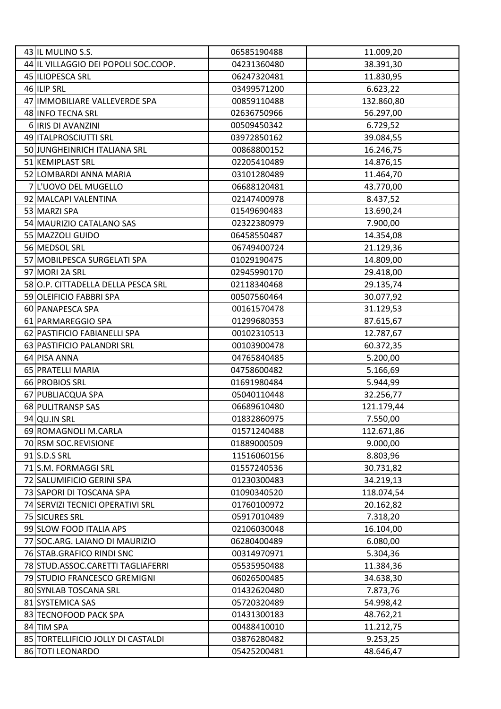| 43 IL MULINO S.S.                    | 06585190488 | 11.009,20  |
|--------------------------------------|-------------|------------|
| 44 IL VILLAGGIO DEI POPOLI SOC.COOP. | 04231360480 | 38.391,30  |
| 45 ILIOPESCA SRL                     | 06247320481 | 11.830,95  |
| 46 ILIP SRL                          | 03499571200 | 6.623,22   |
| 47 IMMOBILIARE VALLEVERDE SPA        | 00859110488 | 132.860,80 |
| 48 INFO TECNA SRL                    | 02636750966 | 56.297,00  |
| 6 IRIS DI AVANZINI                   | 00509450342 | 6.729,52   |
| 49 ITALPROSCIUTTI SRL                | 03972850162 | 39.084,55  |
| 50 JUNGHEINRICH ITALIANA SRL         | 00868800152 | 16.246,75  |
| 51 KEMIPLAST SRL                     | 02205410489 | 14.876,15  |
| 52 LOMBARDI ANNA MARIA               | 03101280489 | 11.464,70  |
| 7 L'UOVO DEL MUGELLO                 | 06688120481 | 43.770,00  |
| 92 MALCAPI VALENTINA                 | 02147400978 | 8.437,52   |
| 53 MARZI SPA                         | 01549690483 | 13.690,24  |
| 54 MAURIZIO CATALANO SAS             | 02322380979 | 7.900,00   |
| 55 MAZZOLI GUIDO                     | 06458550487 | 14.354,08  |
| 56 MEDSOL SRL                        | 06749400724 | 21.129,36  |
| 57 MOBILPESCA SURGELATI SPA          | 01029190475 | 14.809,00  |
| 97 MORI 2A SRL                       | 02945990170 | 29.418,00  |
| 58 O.P. CITTADELLA DELLA PESCA SRL   | 02118340468 | 29.135,74  |
| 59 OLEIFICIO FABBRI SPA              | 00507560464 | 30.077,92  |
| 60 PANAPESCA SPA                     | 00161570478 | 31.129,53  |
| 61 PARMAREGGIO SPA                   | 01299680353 | 87.615,67  |
| 62 PASTIFICIO FABIANELLI SPA         | 00102310513 | 12.787,67  |
| 63 PASTIFICIO PALANDRI SRL           | 00103900478 | 60.372,35  |
| 64 PISA ANNA                         | 04765840485 | 5.200,00   |
| 65 PRATELLI MARIA                    | 04758600482 | 5.166,69   |
| 66 PROBIOS SRL                       | 01691980484 | 5.944,99   |
| 67 PUBLIACQUA SPA                    | 05040110448 | 32.256,77  |
| 68 PULITRANSP SAS                    | 06689610480 | 121.179,44 |
| 94 QU.IN SRL                         | 01832860975 | 7.550,00   |
| 69 ROMAGNOLI M.CARLA                 | 01571240488 | 112.671,86 |
| 70 RSM SOC.REVISIONE                 | 01889000509 | 9.000,00   |
| 91 S.D.S SRL                         | 11516060156 | 8.803,96   |
| 71 S.M. FORMAGGI SRL                 | 01557240536 | 30.731,82  |
| 72 SALUMIFICIO GERINI SPA            | 01230300483 | 34.219,13  |
| 73 SAPORI DI TOSCANA SPA             | 01090340520 | 118.074,54 |
| 74 SERVIZI TECNICI OPERATIVI SRL     | 01760100972 | 20.162,82  |
| 75 SICURES SRL                       | 05917010489 | 7.318,20   |
| 99 SLOW FOOD ITALIA APS              | 02106030048 | 16.104,00  |
| 77 SOC.ARG. LAIANO DI MAURIZIO       | 06280400489 | 6.080,00   |
| 76 STAB.GRAFICO RINDI SNC            | 00314970971 | 5.304,36   |
| 78 STUD.ASSOC.CARETTI TAGLIAFERRI    | 05535950488 | 11.384,36  |
| 79 STUDIO FRANCESCO GREMIGNI         | 06026500485 | 34.638,30  |
| 80 SYNLAB TOSCANA SRL                | 01432620480 | 7.873,76   |
| 81 SYSTEMICA SAS                     | 05720320489 | 54.998,42  |
| 83 TECNOFOOD PACK SPA                | 01431300183 | 48.762,21  |
| 84 TIM SPA                           | 00488410010 | 11.212,75  |
| 85 TORTELLIFICIO JOLLY DI CASTALDI   | 03876280482 | 9.253,25   |
| 86 TOTI LEONARDO                     | 05425200481 | 48.646,47  |